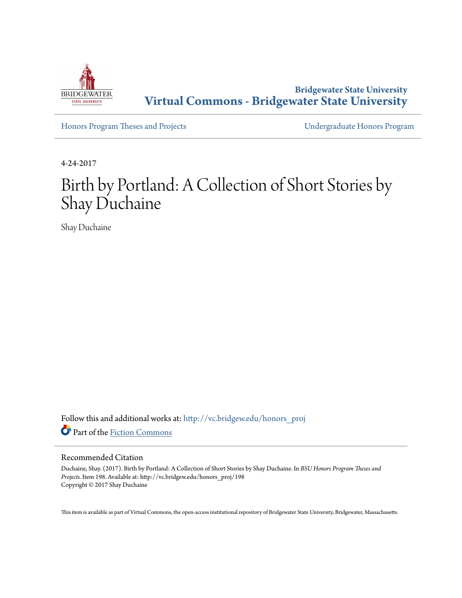

**Bridgewater State University [Virtual Commons - Bridgewater State University](http://vc.bridgew.edu?utm_source=vc.bridgew.edu%2Fhonors_proj%2F198&utm_medium=PDF&utm_campaign=PDFCoverPages)**

[Honors Program Theses and Projects](http://vc.bridgew.edu/honors_proj?utm_source=vc.bridgew.edu%2Fhonors_proj%2F198&utm_medium=PDF&utm_campaign=PDFCoverPages) [Undergraduate Honors Program](http://vc.bridgew.edu/honors?utm_source=vc.bridgew.edu%2Fhonors_proj%2F198&utm_medium=PDF&utm_campaign=PDFCoverPages)

4-24-2017

# Birth by Portland: A Collection of Short Stories by Shay Duchaine

Shay Duchaine

Follow this and additional works at: [http://vc.bridgew.edu/honors\\_proj](http://vc.bridgew.edu/honors_proj?utm_source=vc.bridgew.edu%2Fhonors_proj%2F198&utm_medium=PDF&utm_campaign=PDFCoverPages) Part of the [Fiction Commons](http://network.bepress.com/hgg/discipline/1151?utm_source=vc.bridgew.edu%2Fhonors_proj%2F198&utm_medium=PDF&utm_campaign=PDFCoverPages)

#### Recommended Citation

Duchaine, Shay. (2017). Birth by Portland: A Collection of Short Stories by Shay Duchaine. In *BSU Honors Program Theses and Projects.* Item 198. Available at: http://vc.bridgew.edu/honors\_proj/198 Copyright © 2017 Shay Duchaine

This item is available as part of Virtual Commons, the open-access institutional repository of Bridgewater State University, Bridgewater, Massachusetts.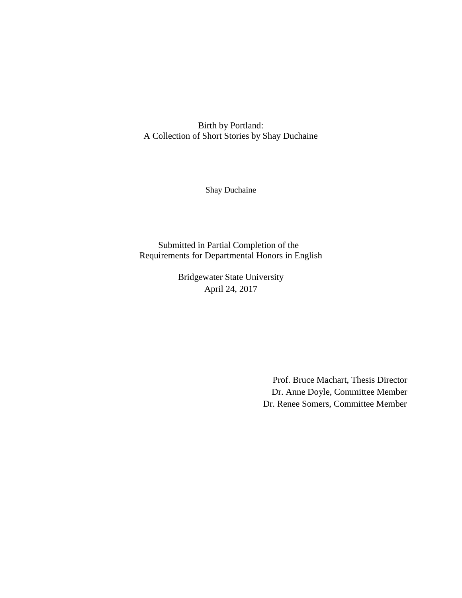Birth by Portland: A Collection of Short Stories by Shay Duchaine

Shay Duchaine

Submitted in Partial Completion of the Requirements for Departmental Honors in English

> Bridgewater State University April 24, 2017

> > Prof. Bruce Machart, Thesis Director Dr. Anne Doyle, Committee Member Dr. Renee Somers, Committee Member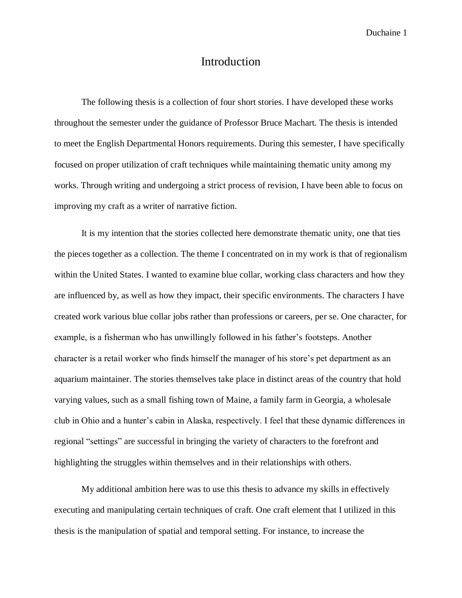## Introduction

The following thesis is a collection of four short stories. I have developed these works throughout the semester under the guidance of Professor Bruce Machart. The thesis is intended to meet the English Departmental Honors requirements. During this semester, I have specifically focused on proper utilization of craft techniques while maintaining thematic unity among my works. Through writing and undergoing a strict process of revision, I have been able to focus on improving my craft as a writer of narrative fiction.

It is my intention that the stories collected here demonstrate thematic unity, one that ties the pieces together as a collection. The theme I concentrated on in my work is that of regionalism within the United States. I wanted to examine blue collar, working class characters and how they are influenced by, as well as how they impact, their specific environments. The characters I have created work various blue collar jobs rather than professions or careers, per se. One character, for example, is a fisherman who has unwillingly followed in his father's footsteps. Another character is a retail worker who finds himself the manager of his store's pet department as an aquarium maintainer. The stories themselves take place in distinct areas of the country that hold varying values, such as a small fishing town of Maine, a family farm in Georgia, a wholesale club in Ohio and a hunter's cabin in Alaska, respectively. I feel that these dynamic differences in regional "settings" are successful in bringing the variety of characters to the forefront and highlighting the struggles within themselves and in their relationships with others.

My additional ambition here was to use this thesis to advance my skills in effectively executing and manipulating certain techniques of craft. One craft element that I utilized in this thesis is the manipulation of spatial and temporal setting. For instance, to increase the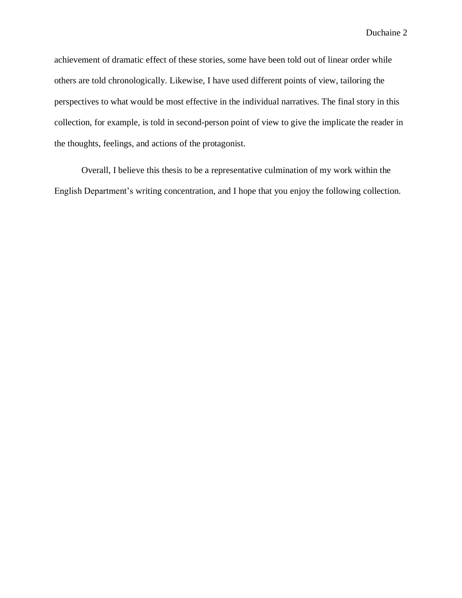achievement of dramatic effect of these stories, some have been told out of linear order while others are told chronologically. Likewise, I have used different points of view, tailoring the perspectives to what would be most effective in the individual narratives. The final story in this collection, for example, is told in second-person point of view to give the implicate the reader in the thoughts, feelings, and actions of the protagonist.

Overall, I believe this thesis to be a representative culmination of my work within the English Department's writing concentration, and I hope that you enjoy the following collection.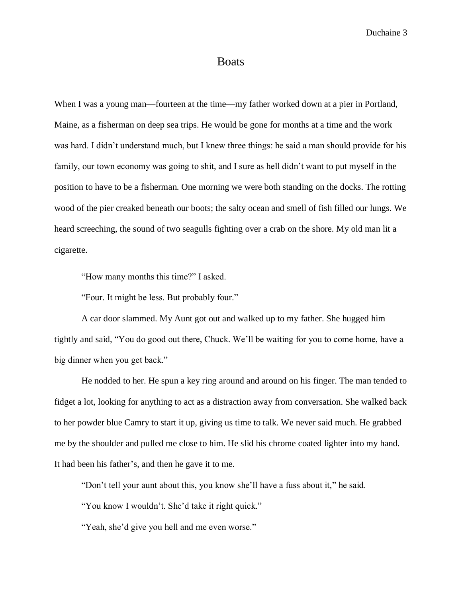#### Boats

When I was a young man—fourteen at the time—my father worked down at a pier in Portland, Maine, as a fisherman on deep sea trips. He would be gone for months at a time and the work was hard. I didn't understand much, but I knew three things: he said a man should provide for his family, our town economy was going to shit, and I sure as hell didn't want to put myself in the position to have to be a fisherman. One morning we were both standing on the docks. The rotting wood of the pier creaked beneath our boots; the salty ocean and smell of fish filled our lungs. We heard screeching, the sound of two seagulls fighting over a crab on the shore. My old man lit a cigarette.

"How many months this time?" I asked.

"Four. It might be less. But probably four."

A car door slammed. My Aunt got out and walked up to my father. She hugged him tightly and said, "You do good out there, Chuck. We'll be waiting for you to come home, have a big dinner when you get back."

He nodded to her. He spun a key ring around and around on his finger. The man tended to fidget a lot, looking for anything to act as a distraction away from conversation. She walked back to her powder blue Camry to start it up, giving us time to talk. We never said much. He grabbed me by the shoulder and pulled me close to him. He slid his chrome coated lighter into my hand. It had been his father's, and then he gave it to me.

"Don't tell your aunt about this, you know she'll have a fuss about it," he said.

"You know I wouldn't. She'd take it right quick."

"Yeah, she'd give you hell and me even worse."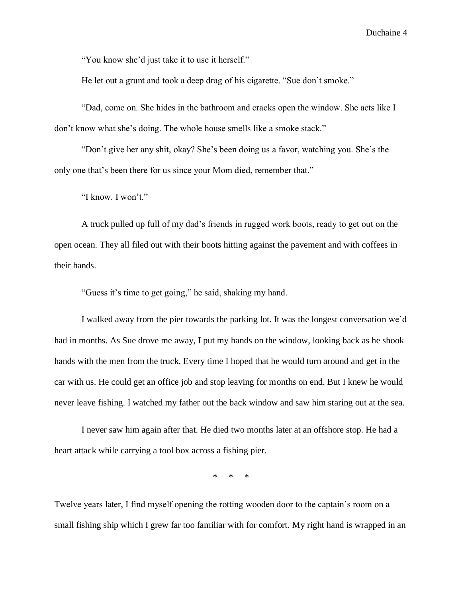"You know she'd just take it to use it herself."

He let out a grunt and took a deep drag of his cigarette. "Sue don't smoke."

"Dad, come on. She hides in the bathroom and cracks open the window. She acts like I don't know what she's doing. The whole house smells like a smoke stack."

"Don't give her any shit, okay? She's been doing us a favor, watching you. She's the only one that's been there for us since your Mom died, remember that."

"I know. I won't."

A truck pulled up full of my dad's friends in rugged work boots, ready to get out on the open ocean. They all filed out with their boots hitting against the pavement and with coffees in their hands.

"Guess it's time to get going," he said, shaking my hand.

I walked away from the pier towards the parking lot. It was the longest conversation we'd had in months. As Sue drove me away, I put my hands on the window, looking back as he shook hands with the men from the truck. Every time I hoped that he would turn around and get in the car with us. He could get an office job and stop leaving for months on end. But I knew he would never leave fishing. I watched my father out the back window and saw him staring out at the sea.

I never saw him again after that. He died two months later at an offshore stop. He had a heart attack while carrying a tool box across a fishing pier.

\* \* \*

Twelve years later, I find myself opening the rotting wooden door to the captain's room on a small fishing ship which I grew far too familiar with for comfort. My right hand is wrapped in an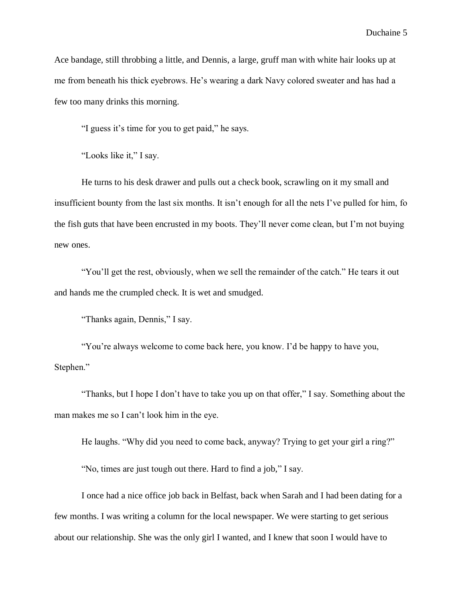Ace bandage, still throbbing a little, and Dennis, a large, gruff man with white hair looks up at me from beneath his thick eyebrows. He's wearing a dark Navy colored sweater and has had a few too many drinks this morning.

"I guess it's time for you to get paid," he says.

"Looks like it," I say.

He turns to his desk drawer and pulls out a check book, scrawling on it my small and insufficient bounty from the last six months. It isn't enough for all the nets I've pulled for him, fo the fish guts that have been encrusted in my boots. They'll never come clean, but I'm not buying new ones.

"You'll get the rest, obviously, when we sell the remainder of the catch." He tears it out and hands me the crumpled check. It is wet and smudged.

"Thanks again, Dennis," I say.

"You're always welcome to come back here, you know. I'd be happy to have you, Stephen."

"Thanks, but I hope I don't have to take you up on that offer," I say. Something about the man makes me so I can't look him in the eye.

He laughs. "Why did you need to come back, anyway? Trying to get your girl a ring?"

"No, times are just tough out there. Hard to find a job," I say.

I once had a nice office job back in Belfast, back when Sarah and I had been dating for a few months. I was writing a column for the local newspaper. We were starting to get serious about our relationship. She was the only girl I wanted, and I knew that soon I would have to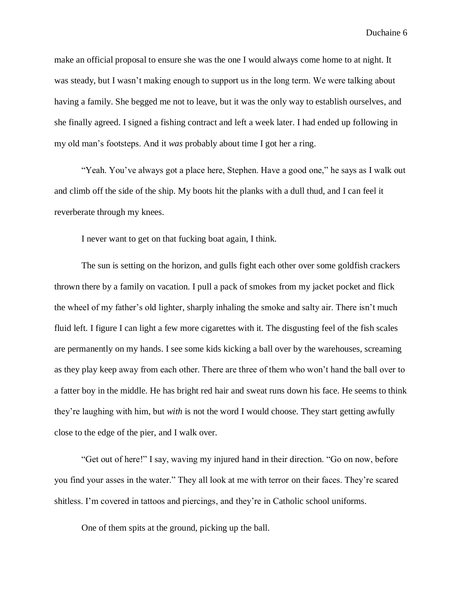make an official proposal to ensure she was the one I would always come home to at night. It was steady, but I wasn't making enough to support us in the long term. We were talking about having a family. She begged me not to leave, but it was the only way to establish ourselves, and she finally agreed. I signed a fishing contract and left a week later. I had ended up following in my old man's footsteps. And it *was* probably about time I got her a ring.

"Yeah. You've always got a place here, Stephen. Have a good one," he says as I walk out and climb off the side of the ship. My boots hit the planks with a dull thud, and I can feel it reverberate through my knees.

I never want to get on that fucking boat again, I think.

The sun is setting on the horizon, and gulls fight each other over some goldfish crackers thrown there by a family on vacation. I pull a pack of smokes from my jacket pocket and flick the wheel of my father's old lighter, sharply inhaling the smoke and salty air. There isn't much fluid left. I figure I can light a few more cigarettes with it. The disgusting feel of the fish scales are permanently on my hands. I see some kids kicking a ball over by the warehouses, screaming as they play keep away from each other. There are three of them who won't hand the ball over to a fatter boy in the middle. He has bright red hair and sweat runs down his face. He seems to think they're laughing with him, but *with* is not the word I would choose. They start getting awfully close to the edge of the pier, and I walk over.

"Get out of here!" I say, waving my injured hand in their direction. "Go on now, before you find your asses in the water." They all look at me with terror on their faces. They're scared shitless. I'm covered in tattoos and piercings, and they're in Catholic school uniforms.

One of them spits at the ground, picking up the ball.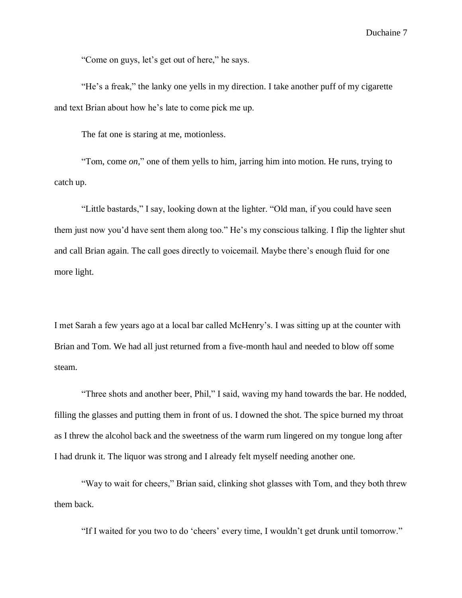"Come on guys, let's get out of here," he says.

"He's a freak," the lanky one yells in my direction. I take another puff of my cigarette and text Brian about how he's late to come pick me up.

The fat one is staring at me, motionless.

"Tom, come *on,*" one of them yells to him, jarring him into motion. He runs, trying to catch up.

"Little bastards," I say, looking down at the lighter. "Old man, if you could have seen them just now you'd have sent them along too." He's my conscious talking. I flip the lighter shut and call Brian again. The call goes directly to voicemail. Maybe there's enough fluid for one more light.

I met Sarah a few years ago at a local bar called McHenry's. I was sitting up at the counter with Brian and Tom. We had all just returned from a five-month haul and needed to blow off some steam.

"Three shots and another beer, Phil," I said, waving my hand towards the bar. He nodded, filling the glasses and putting them in front of us. I downed the shot. The spice burned my throat as I threw the alcohol back and the sweetness of the warm rum lingered on my tongue long after I had drunk it. The liquor was strong and I already felt myself needing another one.

"Way to wait for cheers," Brian said, clinking shot glasses with Tom, and they both threw them back.

"If I waited for you two to do 'cheers' every time, I wouldn't get drunk until tomorrow."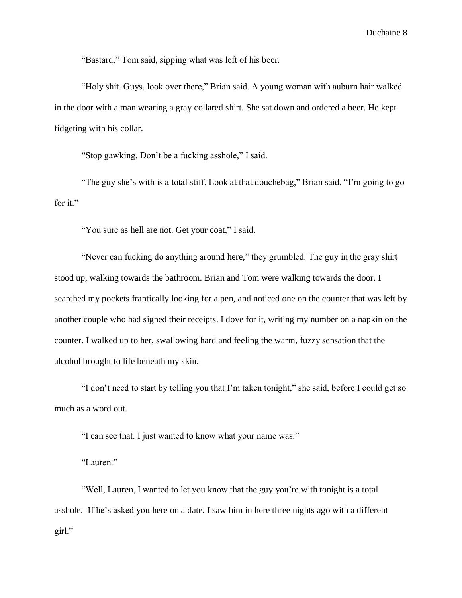"Bastard," Tom said, sipping what was left of his beer.

"Holy shit. Guys, look over there," Brian said. A young woman with auburn hair walked in the door with a man wearing a gray collared shirt. She sat down and ordered a beer. He kept fidgeting with his collar.

"Stop gawking. Don't be a fucking asshole," I said.

"The guy she's with is a total stiff. Look at that douchebag," Brian said. "I'm going to go for it."

"You sure as hell are not. Get your coat," I said.

"Never can fucking do anything around here," they grumbled. The guy in the gray shirt stood up, walking towards the bathroom. Brian and Tom were walking towards the door. I searched my pockets frantically looking for a pen, and noticed one on the counter that was left by another couple who had signed their receipts. I dove for it, writing my number on a napkin on the counter. I walked up to her, swallowing hard and feeling the warm, fuzzy sensation that the alcohol brought to life beneath my skin.

"I don't need to start by telling you that I'm taken tonight," she said, before I could get so much as a word out.

"I can see that. I just wanted to know what your name was."

"Lauren."

"Well, Lauren, I wanted to let you know that the guy you're with tonight is a total asshole. If he's asked you here on a date. I saw him in here three nights ago with a different girl."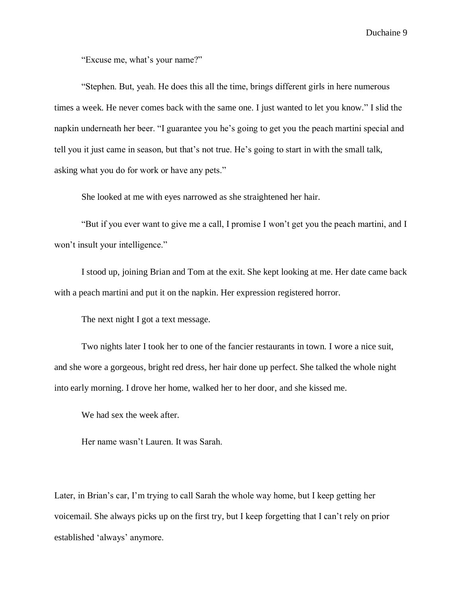"Excuse me, what's your name?"

"Stephen. But, yeah. He does this all the time, brings different girls in here numerous times a week. He never comes back with the same one. I just wanted to let you know." I slid the napkin underneath her beer. "I guarantee you he's going to get you the peach martini special and tell you it just came in season, but that's not true. He's going to start in with the small talk, asking what you do for work or have any pets."

She looked at me with eyes narrowed as she straightened her hair.

"But if you ever want to give me a call, I promise I won't get you the peach martini, and I won't insult your intelligence."

I stood up, joining Brian and Tom at the exit. She kept looking at me. Her date came back with a peach martini and put it on the napkin. Her expression registered horror.

The next night I got a text message.

Two nights later I took her to one of the fancier restaurants in town. I wore a nice suit, and she wore a gorgeous, bright red dress, her hair done up perfect. She talked the whole night into early morning. I drove her home, walked her to her door, and she kissed me.

We had sex the week after.

Her name wasn't Lauren. It was Sarah.

Later, in Brian's car, I'm trying to call Sarah the whole way home, but I keep getting her voicemail. She always picks up on the first try, but I keep forgetting that I can't rely on prior established 'always' anymore.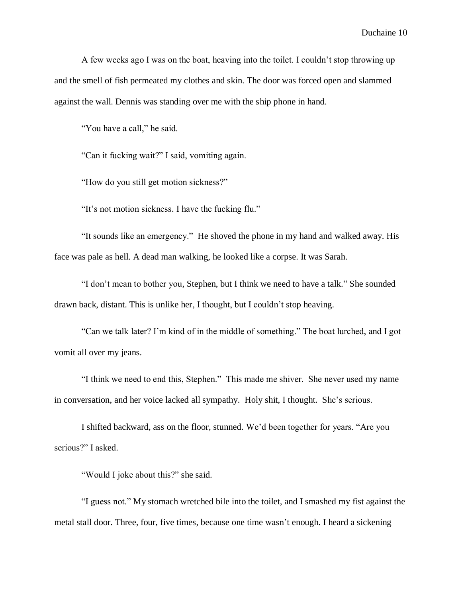A few weeks ago I was on the boat, heaving into the toilet. I couldn't stop throwing up and the smell of fish permeated my clothes and skin. The door was forced open and slammed against the wall. Dennis was standing over me with the ship phone in hand.

"You have a call," he said.

"Can it fucking wait?" I said, vomiting again.

"How do you still get motion sickness?"

"It's not motion sickness. I have the fucking flu."

"It sounds like an emergency." He shoved the phone in my hand and walked away. His face was pale as hell. A dead man walking, he looked like a corpse. It was Sarah.

"I don't mean to bother you, Stephen, but I think we need to have a talk." She sounded drawn back, distant. This is unlike her, I thought, but I couldn't stop heaving.

"Can we talk later? I'm kind of in the middle of something." The boat lurched, and I got vomit all over my jeans.

"I think we need to end this, Stephen." This made me shiver. She never used my name in conversation, and her voice lacked all sympathy. Holy shit, I thought. She's serious.

I shifted backward, ass on the floor, stunned. We'd been together for years. "Are you serious?" I asked.

"Would I joke about this?" she said.

"I guess not." My stomach wretched bile into the toilet, and I smashed my fist against the metal stall door. Three, four, five times, because one time wasn't enough. I heard a sickening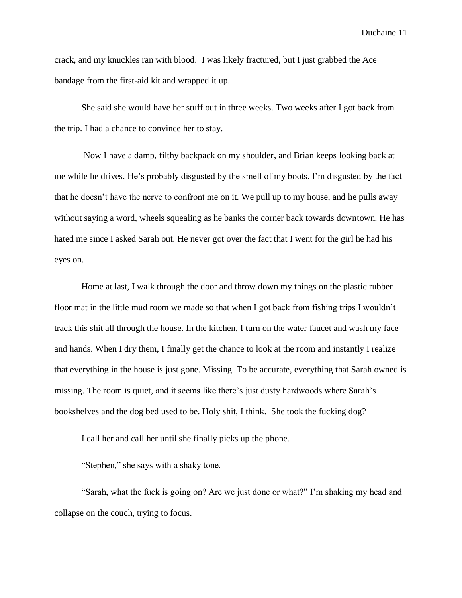crack, and my knuckles ran with blood. I was likely fractured, but I just grabbed the Ace bandage from the first-aid kit and wrapped it up.

She said she would have her stuff out in three weeks. Two weeks after I got back from the trip. I had a chance to convince her to stay.

Now I have a damp, filthy backpack on my shoulder, and Brian keeps looking back at me while he drives. He's probably disgusted by the smell of my boots. I'm disgusted by the fact that he doesn't have the nerve to confront me on it. We pull up to my house, and he pulls away without saying a word, wheels squealing as he banks the corner back towards downtown. He has hated me since I asked Sarah out. He never got over the fact that I went for the girl he had his eyes on.

Home at last, I walk through the door and throw down my things on the plastic rubber floor mat in the little mud room we made so that when I got back from fishing trips I wouldn't track this shit all through the house. In the kitchen, I turn on the water faucet and wash my face and hands. When I dry them, I finally get the chance to look at the room and instantly I realize that everything in the house is just gone. Missing. To be accurate, everything that Sarah owned is missing. The room is quiet, and it seems like there's just dusty hardwoods where Sarah's bookshelves and the dog bed used to be. Holy shit, I think. She took the fucking dog?

I call her and call her until she finally picks up the phone.

"Stephen," she says with a shaky tone.

"Sarah, what the fuck is going on? Are we just done or what?" I'm shaking my head and collapse on the couch, trying to focus.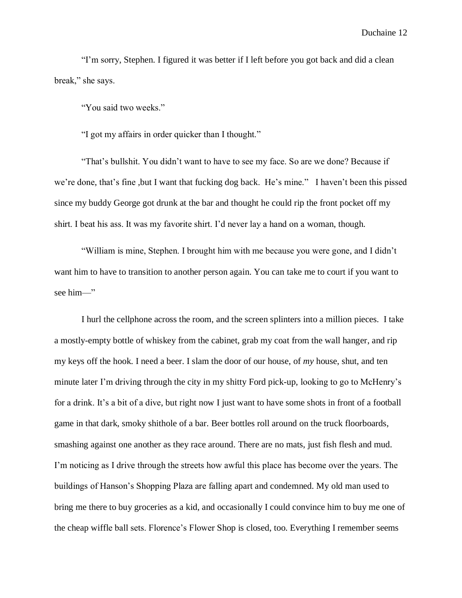"I'm sorry, Stephen. I figured it was better if I left before you got back and did a clean break," she says.

"You said two weeks."

"I got my affairs in order quicker than I thought."

"That's bullshit. You didn't want to have to see my face. So are we done? Because if we're done, that's fine ,but I want that fucking dog back. He's mine." I haven't been this pissed since my buddy George got drunk at the bar and thought he could rip the front pocket off my shirt. I beat his ass. It was my favorite shirt. I'd never lay a hand on a woman, though.

"William is mine, Stephen. I brought him with me because you were gone, and I didn't want him to have to transition to another person again. You can take me to court if you want to see him—"

I hurl the cellphone across the room, and the screen splinters into a million pieces. I take a mostly-empty bottle of whiskey from the cabinet, grab my coat from the wall hanger, and rip my keys off the hook. I need a beer. I slam the door of our house, of *my* house, shut, and ten minute later I'm driving through the city in my shitty Ford pick-up, looking to go to McHenry's for a drink. It's a bit of a dive, but right now I just want to have some shots in front of a football game in that dark, smoky shithole of a bar. Beer bottles roll around on the truck floorboards, smashing against one another as they race around. There are no mats, just fish flesh and mud. I'm noticing as I drive through the streets how awful this place has become over the years. The buildings of Hanson's Shopping Plaza are falling apart and condemned. My old man used to bring me there to buy groceries as a kid, and occasionally I could convince him to buy me one of the cheap wiffle ball sets. Florence's Flower Shop is closed, too. Everything I remember seems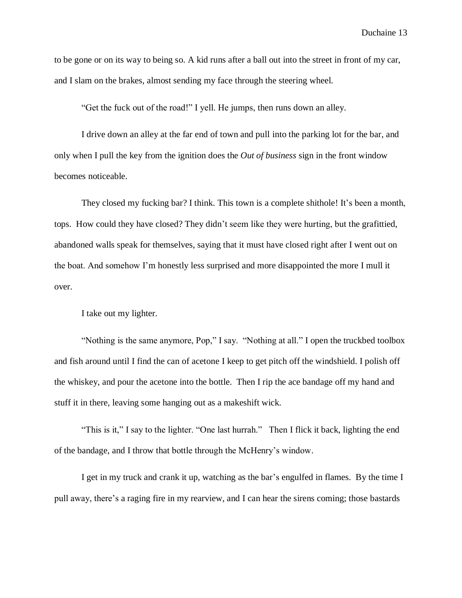to be gone or on its way to being so. A kid runs after a ball out into the street in front of my car, and I slam on the brakes, almost sending my face through the steering wheel.

"Get the fuck out of the road!" I yell. He jumps, then runs down an alley.

I drive down an alley at the far end of town and pull into the parking lot for the bar, and only when I pull the key from the ignition does the *Out of business* sign in the front window becomes noticeable.

They closed my fucking bar? I think. This town is a complete shithole! It's been a month, tops. How could they have closed? They didn't seem like they were hurting, but the grafittied, abandoned walls speak for themselves, saying that it must have closed right after I went out on the boat. And somehow I'm honestly less surprised and more disappointed the more I mull it over.

I take out my lighter.

"Nothing is the same anymore, Pop," I say. "Nothing at all." I open the truckbed toolbox and fish around until I find the can of acetone I keep to get pitch off the windshield. I polish off the whiskey, and pour the acetone into the bottle. Then I rip the ace bandage off my hand and stuff it in there, leaving some hanging out as a makeshift wick.

"This is it," I say to the lighter. "One last hurrah." Then I flick it back, lighting the end of the bandage, and I throw that bottle through the McHenry's window.

I get in my truck and crank it up, watching as the bar's engulfed in flames. By the time I pull away, there's a raging fire in my rearview, and I can hear the sirens coming; those bastards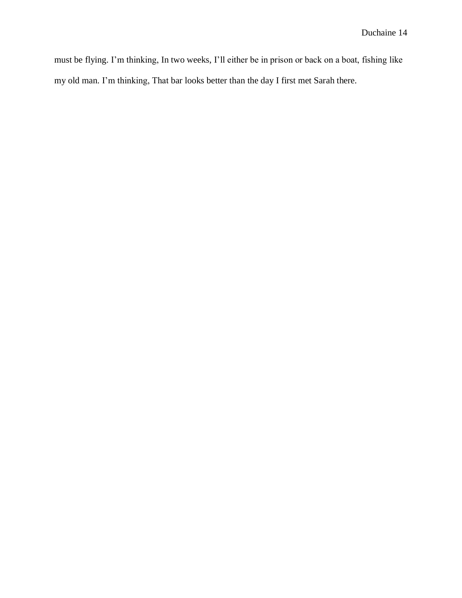must be flying. I'm thinking, In two weeks, I'll either be in prison or back on a boat, fishing like my old man. I'm thinking, That bar looks better than the day I first met Sarah there.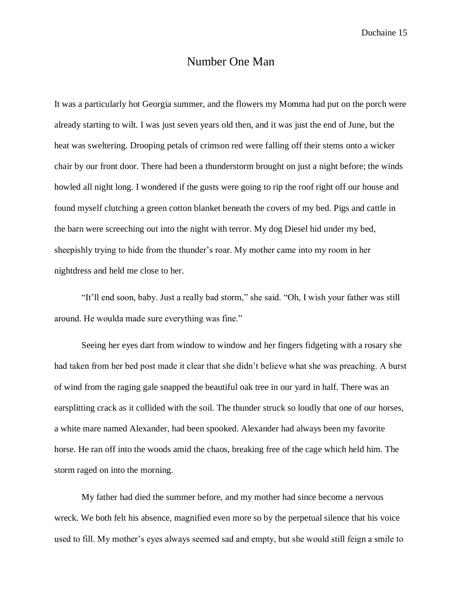#### Number One Man

It was a particularly hot Georgia summer, and the flowers my Momma had put on the porch were already starting to wilt. I was just seven years old then, and it was just the end of June, but the heat was sweltering. Drooping petals of crimson red were falling off their stems onto a wicker chair by our front door. There had been a thunderstorm brought on just a night before; the winds howled all night long. I wondered if the gusts were going to rip the roof right off our house and found myself clutching a green cotton blanket beneath the covers of my bed. Pigs and cattle in the barn were screeching out into the night with terror. My dog Diesel hid under my bed, sheepishly trying to hide from the thunder's roar. My mother came into my room in her nightdress and held me close to her.

"It'll end soon, baby. Just a really bad storm," she said. "Oh, I wish your father was still around. He woulda made sure everything was fine."

Seeing her eyes dart from window to window and her fingers fidgeting with a rosary she had taken from her bed post made it clear that she didn't believe what she was preaching. A burst of wind from the raging gale snapped the beautiful oak tree in our yard in half. There was an earsplitting crack as it collided with the soil. The thunder struck so loudly that one of our horses, a white mare named Alexander, had been spooked. Alexander had always been my favorite horse. He ran off into the woods amid the chaos, breaking free of the cage which held him. The storm raged on into the morning.

My father had died the summer before, and my mother had since become a nervous wreck. We both felt his absence, magnified even more so by the perpetual silence that his voice used to fill. My mother's eyes always seemed sad and empty, but she would still feign a smile to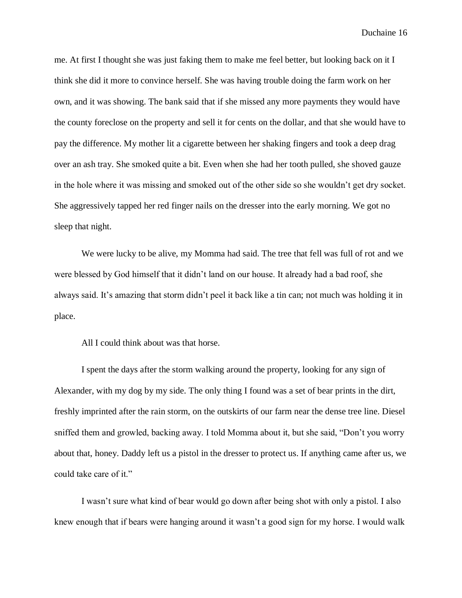me. At first I thought she was just faking them to make me feel better, but looking back on it I think she did it more to convince herself. She was having trouble doing the farm work on her own, and it was showing. The bank said that if she missed any more payments they would have the county foreclose on the property and sell it for cents on the dollar, and that she would have to pay the difference. My mother lit a cigarette between her shaking fingers and took a deep drag over an ash tray. She smoked quite a bit. Even when she had her tooth pulled, she shoved gauze in the hole where it was missing and smoked out of the other side so she wouldn't get dry socket. She aggressively tapped her red finger nails on the dresser into the early morning. We got no sleep that night.

We were lucky to be alive, my Momma had said. The tree that fell was full of rot and we were blessed by God himself that it didn't land on our house. It already had a bad roof, she always said. It's amazing that storm didn't peel it back like a tin can; not much was holding it in place.

All I could think about was that horse.

I spent the days after the storm walking around the property, looking for any sign of Alexander, with my dog by my side. The only thing I found was a set of bear prints in the dirt, freshly imprinted after the rain storm, on the outskirts of our farm near the dense tree line. Diesel sniffed them and growled, backing away. I told Momma about it, but she said, "Don't you worry about that, honey. Daddy left us a pistol in the dresser to protect us. If anything came after us, we could take care of it."

I wasn't sure what kind of bear would go down after being shot with only a pistol. I also knew enough that if bears were hanging around it wasn't a good sign for my horse. I would walk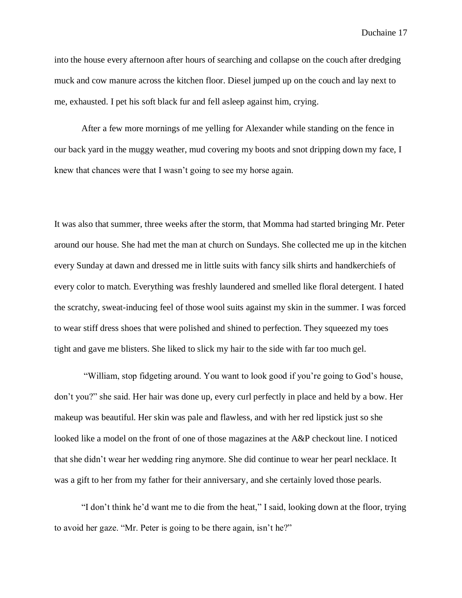into the house every afternoon after hours of searching and collapse on the couch after dredging muck and cow manure across the kitchen floor. Diesel jumped up on the couch and lay next to me, exhausted. I pet his soft black fur and fell asleep against him, crying.

After a few more mornings of me yelling for Alexander while standing on the fence in our back yard in the muggy weather, mud covering my boots and snot dripping down my face, I knew that chances were that I wasn't going to see my horse again.

It was also that summer, three weeks after the storm, that Momma had started bringing Mr. Peter around our house. She had met the man at church on Sundays. She collected me up in the kitchen every Sunday at dawn and dressed me in little suits with fancy silk shirts and handkerchiefs of every color to match. Everything was freshly laundered and smelled like floral detergent. I hated the scratchy, sweat-inducing feel of those wool suits against my skin in the summer. I was forced to wear stiff dress shoes that were polished and shined to perfection. They squeezed my toes tight and gave me blisters. She liked to slick my hair to the side with far too much gel.

"William, stop fidgeting around. You want to look good if you're going to God's house, don't you?" she said. Her hair was done up, every curl perfectly in place and held by a bow. Her makeup was beautiful. Her skin was pale and flawless, and with her red lipstick just so she looked like a model on the front of one of those magazines at the A&P checkout line. I noticed that she didn't wear her wedding ring anymore. She did continue to wear her pearl necklace. It was a gift to her from my father for their anniversary, and she certainly loved those pearls.

"I don't think he'd want me to die from the heat," I said, looking down at the floor, trying to avoid her gaze. "Mr. Peter is going to be there again, isn't he?"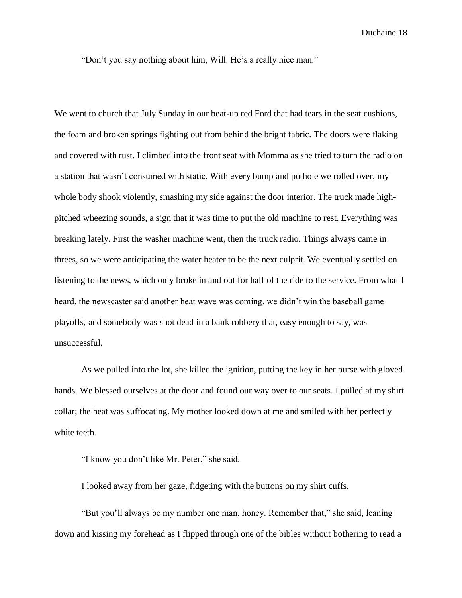"Don't you say nothing about him, Will. He's a really nice man."

We went to church that July Sunday in our beat-up red Ford that had tears in the seat cushions, the foam and broken springs fighting out from behind the bright fabric. The doors were flaking and covered with rust. I climbed into the front seat with Momma as she tried to turn the radio on a station that wasn't consumed with static. With every bump and pothole we rolled over, my whole body shook violently, smashing my side against the door interior. The truck made highpitched wheezing sounds, a sign that it was time to put the old machine to rest. Everything was breaking lately. First the washer machine went, then the truck radio. Things always came in threes, so we were anticipating the water heater to be the next culprit. We eventually settled on listening to the news, which only broke in and out for half of the ride to the service. From what I heard, the newscaster said another heat wave was coming, we didn't win the baseball game playoffs, and somebody was shot dead in a bank robbery that, easy enough to say, was unsuccessful.

As we pulled into the lot, she killed the ignition, putting the key in her purse with gloved hands. We blessed ourselves at the door and found our way over to our seats. I pulled at my shirt collar; the heat was suffocating. My mother looked down at me and smiled with her perfectly white teeth.

"I know you don't like Mr. Peter," she said.

I looked away from her gaze, fidgeting with the buttons on my shirt cuffs.

"But you'll always be my number one man, honey. Remember that," she said, leaning down and kissing my forehead as I flipped through one of the bibles without bothering to read a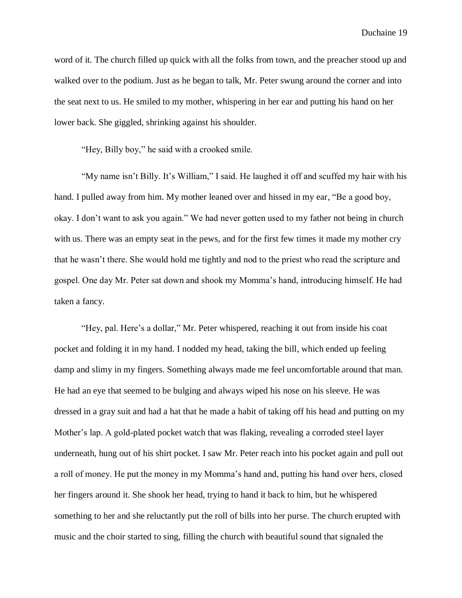word of it. The church filled up quick with all the folks from town, and the preacher stood up and walked over to the podium. Just as he began to talk, Mr. Peter swung around the corner and into the seat next to us. He smiled to my mother, whispering in her ear and putting his hand on her lower back. She giggled, shrinking against his shoulder.

"Hey, Billy boy," he said with a crooked smile.

"My name isn't Billy. It's William," I said. He laughed it off and scuffed my hair with his hand. I pulled away from him. My mother leaned over and hissed in my ear, "Be a good boy, okay. I don't want to ask you again." We had never gotten used to my father not being in church with us. There was an empty seat in the pews, and for the first few times it made my mother cry that he wasn't there. She would hold me tightly and nod to the priest who read the scripture and gospel. One day Mr. Peter sat down and shook my Momma's hand, introducing himself. He had taken a fancy.

"Hey, pal. Here's a dollar," Mr. Peter whispered, reaching it out from inside his coat pocket and folding it in my hand. I nodded my head, taking the bill, which ended up feeling damp and slimy in my fingers. Something always made me feel uncomfortable around that man. He had an eye that seemed to be bulging and always wiped his nose on his sleeve. He was dressed in a gray suit and had a hat that he made a habit of taking off his head and putting on my Mother's lap. A gold-plated pocket watch that was flaking, revealing a corroded steel layer underneath, hung out of his shirt pocket. I saw Mr. Peter reach into his pocket again and pull out a roll of money. He put the money in my Momma's hand and, putting his hand over hers, closed her fingers around it. She shook her head, trying to hand it back to him, but he whispered something to her and she reluctantly put the roll of bills into her purse. The church erupted with music and the choir started to sing, filling the church with beautiful sound that signaled the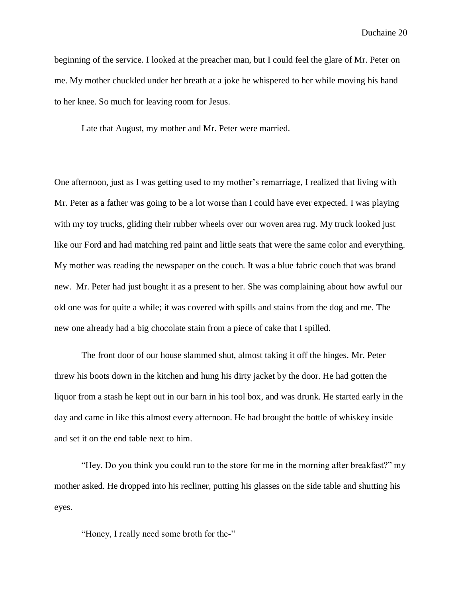beginning of the service. I looked at the preacher man, but I could feel the glare of Mr. Peter on me. My mother chuckled under her breath at a joke he whispered to her while moving his hand to her knee. So much for leaving room for Jesus.

Late that August, my mother and Mr. Peter were married.

One afternoon, just as I was getting used to my mother's remarriage, I realized that living with Mr. Peter as a father was going to be a lot worse than I could have ever expected. I was playing with my toy trucks, gliding their rubber wheels over our woven area rug. My truck looked just like our Ford and had matching red paint and little seats that were the same color and everything. My mother was reading the newspaper on the couch. It was a blue fabric couch that was brand new. Mr. Peter had just bought it as a present to her. She was complaining about how awful our old one was for quite a while; it was covered with spills and stains from the dog and me. The new one already had a big chocolate stain from a piece of cake that I spilled.

The front door of our house slammed shut, almost taking it off the hinges. Mr. Peter threw his boots down in the kitchen and hung his dirty jacket by the door. He had gotten the liquor from a stash he kept out in our barn in his tool box, and was drunk. He started early in the day and came in like this almost every afternoon. He had brought the bottle of whiskey inside and set it on the end table next to him.

"Hey. Do you think you could run to the store for me in the morning after breakfast?" my mother asked. He dropped into his recliner, putting his glasses on the side table and shutting his eyes.

"Honey, I really need some broth for the-"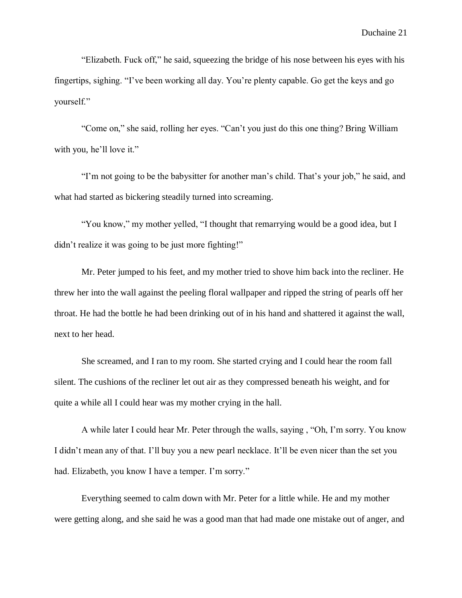"Elizabeth. Fuck off," he said, squeezing the bridge of his nose between his eyes with his fingertips, sighing. "I've been working all day. You're plenty capable. Go get the keys and go yourself."

"Come on," she said, rolling her eyes. "Can't you just do this one thing? Bring William with you, he'll love it."

"I'm not going to be the babysitter for another man's child. That's your job," he said, and what had started as bickering steadily turned into screaming.

"You know," my mother yelled, "I thought that remarrying would be a good idea, but I didn't realize it was going to be just more fighting!"

Mr. Peter jumped to his feet, and my mother tried to shove him back into the recliner. He threw her into the wall against the peeling floral wallpaper and ripped the string of pearls off her throat. He had the bottle he had been drinking out of in his hand and shattered it against the wall, next to her head.

She screamed, and I ran to my room. She started crying and I could hear the room fall silent. The cushions of the recliner let out air as they compressed beneath his weight, and for quite a while all I could hear was my mother crying in the hall.

A while later I could hear Mr. Peter through the walls, saying , "Oh, I'm sorry. You know I didn't mean any of that. I'll buy you a new pearl necklace. It'll be even nicer than the set you had. Elizabeth, you know I have a temper. I'm sorry."

Everything seemed to calm down with Mr. Peter for a little while. He and my mother were getting along, and she said he was a good man that had made one mistake out of anger, and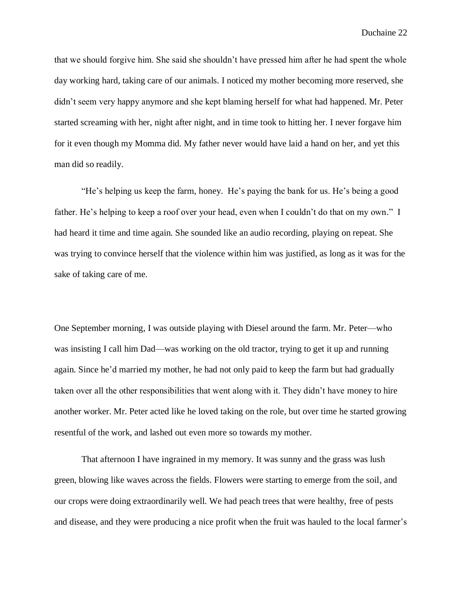that we should forgive him. She said she shouldn't have pressed him after he had spent the whole day working hard, taking care of our animals. I noticed my mother becoming more reserved, she didn't seem very happy anymore and she kept blaming herself for what had happened. Mr. Peter started screaming with her, night after night, and in time took to hitting her. I never forgave him for it even though my Momma did. My father never would have laid a hand on her, and yet this man did so readily.

"He's helping us keep the farm, honey. He's paying the bank for us. He's being a good father. He's helping to keep a roof over your head, even when I couldn't do that on my own." I had heard it time and time again. She sounded like an audio recording, playing on repeat. She was trying to convince herself that the violence within him was justified, as long as it was for the sake of taking care of me.

One September morning, I was outside playing with Diesel around the farm. Mr. Peter—who was insisting I call him Dad—was working on the old tractor, trying to get it up and running again. Since he'd married my mother, he had not only paid to keep the farm but had gradually taken over all the other responsibilities that went along with it. They didn't have money to hire another worker. Mr. Peter acted like he loved taking on the role, but over time he started growing resentful of the work, and lashed out even more so towards my mother.

That afternoon I have ingrained in my memory. It was sunny and the grass was lush green, blowing like waves across the fields. Flowers were starting to emerge from the soil, and our crops were doing extraordinarily well. We had peach trees that were healthy, free of pests and disease, and they were producing a nice profit when the fruit was hauled to the local farmer's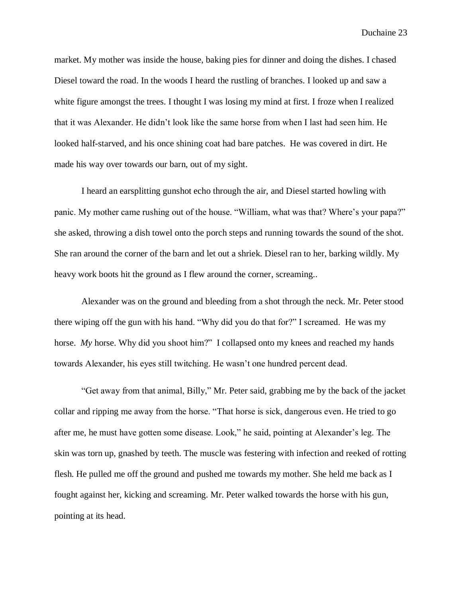market. My mother was inside the house, baking pies for dinner and doing the dishes. I chased Diesel toward the road. In the woods I heard the rustling of branches. I looked up and saw a white figure amongst the trees. I thought I was losing my mind at first. I froze when I realized that it was Alexander. He didn't look like the same horse from when I last had seen him. He looked half-starved, and his once shining coat had bare patches. He was covered in dirt. He made his way over towards our barn, out of my sight.

I heard an earsplitting gunshot echo through the air, and Diesel started howling with panic. My mother came rushing out of the house. "William, what was that? Where's your papa?" she asked, throwing a dish towel onto the porch steps and running towards the sound of the shot. She ran around the corner of the barn and let out a shriek. Diesel ran to her, barking wildly. My heavy work boots hit the ground as I flew around the corner, screaming..

Alexander was on the ground and bleeding from a shot through the neck. Mr. Peter stood there wiping off the gun with his hand. "Why did you do that for?" I screamed. He was my horse. *My* horse. Why did you shoot him?" I collapsed onto my knees and reached my hands towards Alexander, his eyes still twitching. He wasn't one hundred percent dead.

"Get away from that animal, Billy," Mr. Peter said, grabbing me by the back of the jacket collar and ripping me away from the horse. "That horse is sick, dangerous even. He tried to go after me, he must have gotten some disease. Look," he said, pointing at Alexander's leg. The skin was torn up, gnashed by teeth. The muscle was festering with infection and reeked of rotting flesh. He pulled me off the ground and pushed me towards my mother. She held me back as I fought against her, kicking and screaming. Mr. Peter walked towards the horse with his gun, pointing at its head.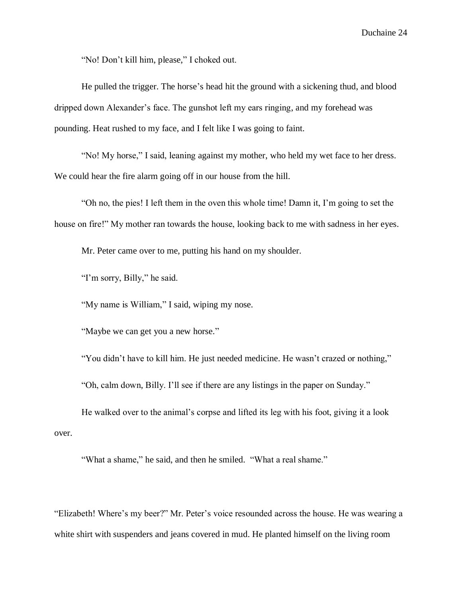"No! Don't kill him, please," I choked out.

He pulled the trigger. The horse's head hit the ground with a sickening thud, and blood dripped down Alexander's face. The gunshot left my ears ringing, and my forehead was pounding. Heat rushed to my face, and I felt like I was going to faint.

"No! My horse," I said, leaning against my mother, who held my wet face to her dress. We could hear the fire alarm going off in our house from the hill.

"Oh no, the pies! I left them in the oven this whole time! Damn it, I'm going to set the house on fire!" My mother ran towards the house, looking back to me with sadness in her eyes.

Mr. Peter came over to me, putting his hand on my shoulder.

"I'm sorry, Billy," he said.

"My name is William," I said, wiping my nose.

"Maybe we can get you a new horse."

"You didn't have to kill him. He just needed medicine. He wasn't crazed or nothing,"

"Oh, calm down, Billy. I'll see if there are any listings in the paper on Sunday."

He walked over to the animal's corpse and lifted its leg with his foot, giving it a look over.

"What a shame," he said, and then he smiled. "What a real shame."

"Elizabeth! Where's my beer?" Mr. Peter's voice resounded across the house. He was wearing a white shirt with suspenders and jeans covered in mud. He planted himself on the living room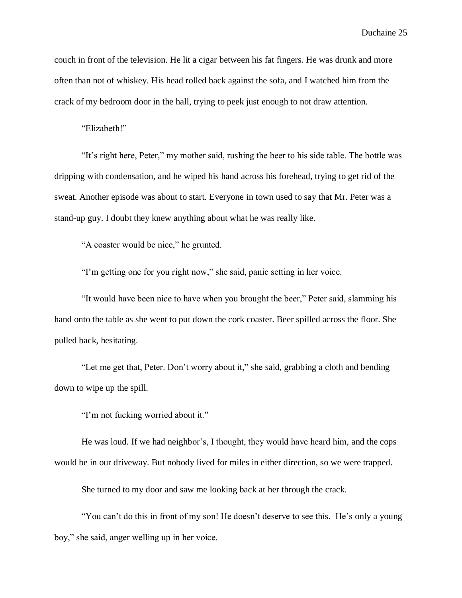couch in front of the television. He lit a cigar between his fat fingers. He was drunk and more often than not of whiskey. His head rolled back against the sofa, and I watched him from the crack of my bedroom door in the hall, trying to peek just enough to not draw attention.

"Elizabeth!"

"It's right here, Peter," my mother said, rushing the beer to his side table. The bottle was dripping with condensation, and he wiped his hand across his forehead, trying to get rid of the sweat. Another episode was about to start. Everyone in town used to say that Mr. Peter was a stand-up guy. I doubt they knew anything about what he was really like.

"A coaster would be nice," he grunted.

"I'm getting one for you right now," she said, panic setting in her voice.

"It would have been nice to have when you brought the beer," Peter said, slamming his hand onto the table as she went to put down the cork coaster. Beer spilled across the floor. She pulled back, hesitating.

"Let me get that, Peter. Don't worry about it," she said, grabbing a cloth and bending down to wipe up the spill.

"I'm not fucking worried about it."

He was loud. If we had neighbor's, I thought, they would have heard him, and the cops would be in our driveway. But nobody lived for miles in either direction, so we were trapped.

She turned to my door and saw me looking back at her through the crack.

"You can't do this in front of my son! He doesn't deserve to see this. He's only a young boy," she said, anger welling up in her voice.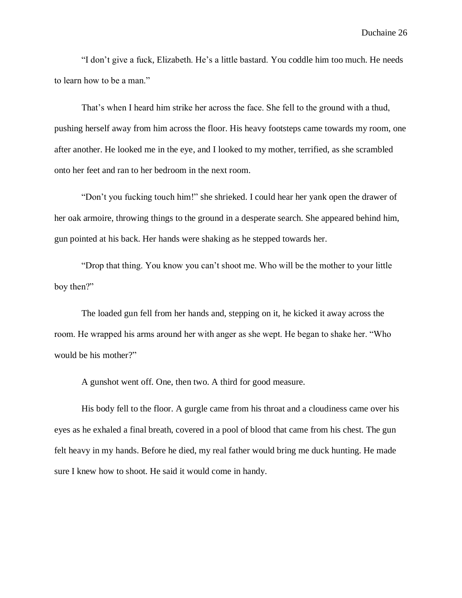"I don't give a fuck, Elizabeth. He's a little bastard. You coddle him too much. He needs to learn how to be a man."

That's when I heard him strike her across the face. She fell to the ground with a thud, pushing herself away from him across the floor. His heavy footsteps came towards my room, one after another. He looked me in the eye, and I looked to my mother, terrified, as she scrambled onto her feet and ran to her bedroom in the next room.

"Don't you fucking touch him!" she shrieked. I could hear her yank open the drawer of her oak armoire, throwing things to the ground in a desperate search. She appeared behind him, gun pointed at his back. Her hands were shaking as he stepped towards her.

"Drop that thing. You know you can't shoot me. Who will be the mother to your little boy then?"

The loaded gun fell from her hands and, stepping on it, he kicked it away across the room. He wrapped his arms around her with anger as she wept. He began to shake her. "Who would be his mother?"

A gunshot went off. One, then two. A third for good measure.

His body fell to the floor. A gurgle came from his throat and a cloudiness came over his eyes as he exhaled a final breath, covered in a pool of blood that came from his chest. The gun felt heavy in my hands. Before he died, my real father would bring me duck hunting. He made sure I knew how to shoot. He said it would come in handy.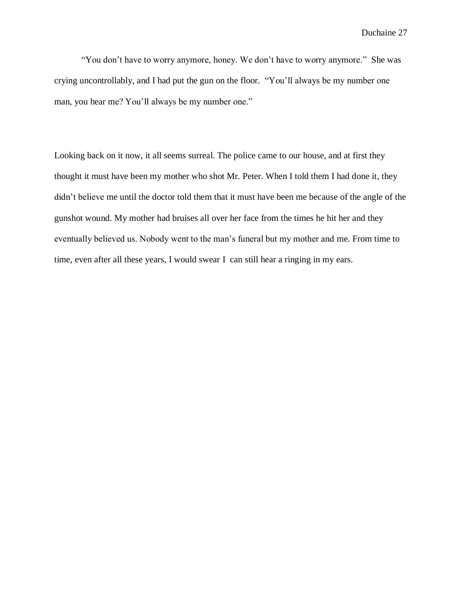"You don't have to worry anymore, honey. We don't have to worry anymore." She was crying uncontrollably, and I had put the gun on the floor. "You'll always be my number one man, you hear me? You'll always be my number one."

Looking back on it now, it all seems surreal. The police came to our house, and at first they thought it must have been my mother who shot Mr. Peter. When I told them I had done it, they didn't believe me until the doctor told them that it must have been me because of the angle of the gunshot wound. My mother had bruises all over her face from the times he hit her and they eventually believed us. Nobody went to the man's funeral but my mother and me. From time to time, even after all these years, I would swear I can still hear a ringing in my ears.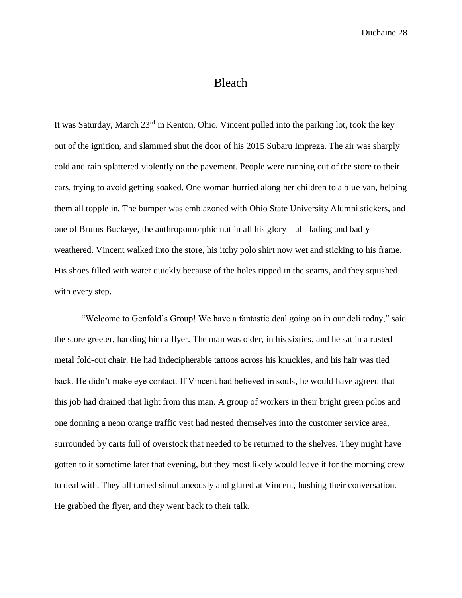#### Bleach

It was Saturday, March 23<sup>rd</sup> in Kenton, Ohio. Vincent pulled into the parking lot, took the key out of the ignition, and slammed shut the door of his 2015 Subaru Impreza. The air was sharply cold and rain splattered violently on the pavement. People were running out of the store to their cars, trying to avoid getting soaked. One woman hurried along her children to a blue van, helping them all topple in. The bumper was emblazoned with Ohio State University Alumni stickers, and one of Brutus Buckeye, the anthropomorphic nut in all his glory—all fading and badly weathered. Vincent walked into the store, his itchy polo shirt now wet and sticking to his frame. His shoes filled with water quickly because of the holes ripped in the seams, and they squished with every step.

"Welcome to Genfold's Group! We have a fantastic deal going on in our deli today," said the store greeter, handing him a flyer. The man was older, in his sixties, and he sat in a rusted metal fold-out chair. He had indecipherable tattoos across his knuckles, and his hair was tied back. He didn't make eye contact. If Vincent had believed in souls, he would have agreed that this job had drained that light from this man. A group of workers in their bright green polos and one donning a neon orange traffic vest had nested themselves into the customer service area, surrounded by carts full of overstock that needed to be returned to the shelves. They might have gotten to it sometime later that evening, but they most likely would leave it for the morning crew to deal with. They all turned simultaneously and glared at Vincent, hushing their conversation. He grabbed the flyer, and they went back to their talk.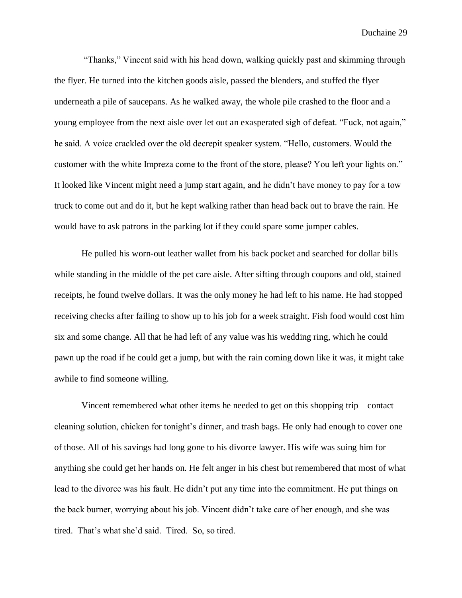"Thanks," Vincent said with his head down, walking quickly past and skimming through the flyer. He turned into the kitchen goods aisle, passed the blenders, and stuffed the flyer underneath a pile of saucepans. As he walked away, the whole pile crashed to the floor and a young employee from the next aisle over let out an exasperated sigh of defeat. "Fuck, not again," he said. A voice crackled over the old decrepit speaker system. "Hello, customers. Would the customer with the white Impreza come to the front of the store, please? You left your lights on." It looked like Vincent might need a jump start again, and he didn't have money to pay for a tow truck to come out and do it, but he kept walking rather than head back out to brave the rain. He would have to ask patrons in the parking lot if they could spare some jumper cables.

He pulled his worn-out leather wallet from his back pocket and searched for dollar bills while standing in the middle of the pet care aisle. After sifting through coupons and old, stained receipts, he found twelve dollars. It was the only money he had left to his name. He had stopped receiving checks after failing to show up to his job for a week straight. Fish food would cost him six and some change. All that he had left of any value was his wedding ring, which he could pawn up the road if he could get a jump, but with the rain coming down like it was, it might take awhile to find someone willing.

Vincent remembered what other items he needed to get on this shopping trip—contact cleaning solution, chicken for tonight's dinner, and trash bags. He only had enough to cover one of those. All of his savings had long gone to his divorce lawyer. His wife was suing him for anything she could get her hands on. He felt anger in his chest but remembered that most of what lead to the divorce was his fault. He didn't put any time into the commitment. He put things on the back burner, worrying about his job. Vincent didn't take care of her enough, and she was tired. That's what she'd said. Tired. So, so tired.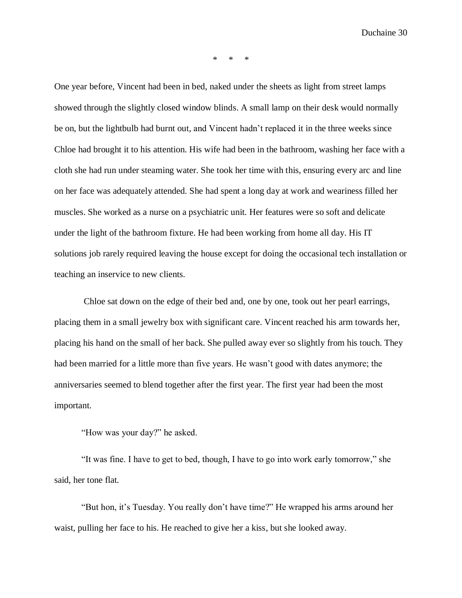\* \* \*

One year before, Vincent had been in bed, naked under the sheets as light from street lamps showed through the slightly closed window blinds. A small lamp on their desk would normally be on, but the lightbulb had burnt out, and Vincent hadn't replaced it in the three weeks since Chloe had brought it to his attention. His wife had been in the bathroom, washing her face with a cloth she had run under steaming water. She took her time with this, ensuring every arc and line on her face was adequately attended. She had spent a long day at work and weariness filled her muscles. She worked as a nurse on a psychiatric unit. Her features were so soft and delicate under the light of the bathroom fixture. He had been working from home all day. His IT solutions job rarely required leaving the house except for doing the occasional tech installation or teaching an inservice to new clients.

Chloe sat down on the edge of their bed and, one by one, took out her pearl earrings, placing them in a small jewelry box with significant care. Vincent reached his arm towards her, placing his hand on the small of her back. She pulled away ever so slightly from his touch. They had been married for a little more than five years. He wasn't good with dates anymore; the anniversaries seemed to blend together after the first year. The first year had been the most important.

"How was your day?" he asked.

"It was fine. I have to get to bed, though, I have to go into work early tomorrow," she said, her tone flat.

"But hon, it's Tuesday. You really don't have time?" He wrapped his arms around her waist, pulling her face to his. He reached to give her a kiss, but she looked away.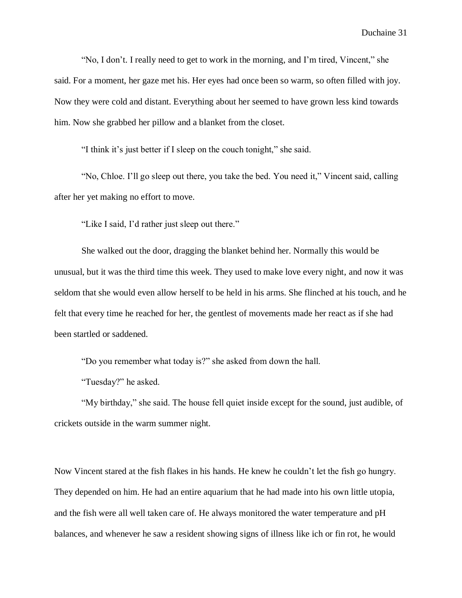"No, I don't. I really need to get to work in the morning, and I'm tired, Vincent," she said. For a moment, her gaze met his. Her eyes had once been so warm, so often filled with joy. Now they were cold and distant. Everything about her seemed to have grown less kind towards him. Now she grabbed her pillow and a blanket from the closet.

"I think it's just better if I sleep on the couch tonight," she said.

"No, Chloe. I'll go sleep out there, you take the bed. You need it," Vincent said, calling after her yet making no effort to move.

"Like I said, I'd rather just sleep out there."

She walked out the door, dragging the blanket behind her. Normally this would be unusual, but it was the third time this week. They used to make love every night, and now it was seldom that she would even allow herself to be held in his arms. She flinched at his touch, and he felt that every time he reached for her, the gentlest of movements made her react as if she had been startled or saddened.

"Do you remember what today is?" she asked from down the hall.

"Tuesday?" he asked.

"My birthday," she said. The house fell quiet inside except for the sound, just audible, of crickets outside in the warm summer night.

Now Vincent stared at the fish flakes in his hands. He knew he couldn't let the fish go hungry. They depended on him. He had an entire aquarium that he had made into his own little utopia, and the fish were all well taken care of. He always monitored the water temperature and pH balances, and whenever he saw a resident showing signs of illness like ich or fin rot, he would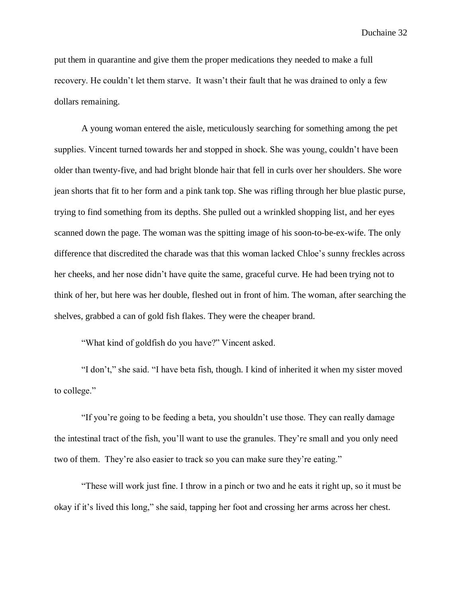put them in quarantine and give them the proper medications they needed to make a full recovery. He couldn't let them starve. It wasn't their fault that he was drained to only a few dollars remaining.

A young woman entered the aisle, meticulously searching for something among the pet supplies. Vincent turned towards her and stopped in shock. She was young, couldn't have been older than twenty-five, and had bright blonde hair that fell in curls over her shoulders. She wore jean shorts that fit to her form and a pink tank top. She was rifling through her blue plastic purse, trying to find something from its depths. She pulled out a wrinkled shopping list, and her eyes scanned down the page. The woman was the spitting image of his soon-to-be-ex-wife. The only difference that discredited the charade was that this woman lacked Chloe's sunny freckles across her cheeks, and her nose didn't have quite the same, graceful curve. He had been trying not to think of her, but here was her double, fleshed out in front of him. The woman, after searching the shelves, grabbed a can of gold fish flakes. They were the cheaper brand.

"What kind of goldfish do you have?" Vincent asked.

"I don't," she said. "I have beta fish, though. I kind of inherited it when my sister moved to college."

"If you're going to be feeding a beta, you shouldn't use those. They can really damage the intestinal tract of the fish, you'll want to use the granules. They're small and you only need two of them. They're also easier to track so you can make sure they're eating."

"These will work just fine. I throw in a pinch or two and he eats it right up, so it must be okay if it's lived this long," she said, tapping her foot and crossing her arms across her chest.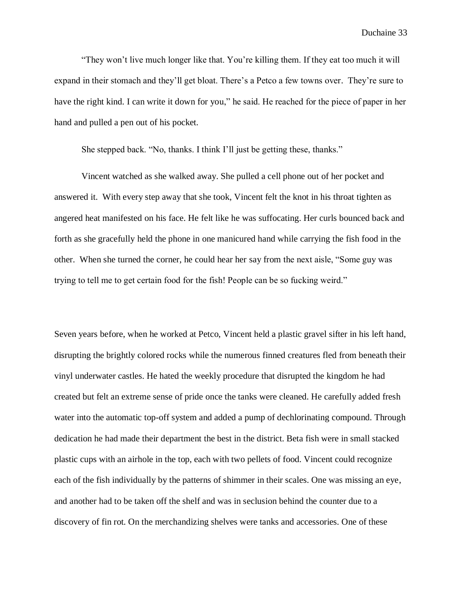"They won't live much longer like that. You're killing them. If they eat too much it will expand in their stomach and they'll get bloat. There's a Petco a few towns over. They're sure to have the right kind. I can write it down for you," he said. He reached for the piece of paper in her hand and pulled a pen out of his pocket.

She stepped back. "No, thanks. I think I'll just be getting these, thanks."

Vincent watched as she walked away. She pulled a cell phone out of her pocket and answered it. With every step away that she took, Vincent felt the knot in his throat tighten as angered heat manifested on his face. He felt like he was suffocating. Her curls bounced back and forth as she gracefully held the phone in one manicured hand while carrying the fish food in the other. When she turned the corner, he could hear her say from the next aisle, "Some guy was trying to tell me to get certain food for the fish! People can be so fucking weird."

Seven years before, when he worked at Petco, Vincent held a plastic gravel sifter in his left hand, disrupting the brightly colored rocks while the numerous finned creatures fled from beneath their vinyl underwater castles. He hated the weekly procedure that disrupted the kingdom he had created but felt an extreme sense of pride once the tanks were cleaned. He carefully added fresh water into the automatic top-off system and added a pump of dechlorinating compound. Through dedication he had made their department the best in the district. Beta fish were in small stacked plastic cups with an airhole in the top, each with two pellets of food. Vincent could recognize each of the fish individually by the patterns of shimmer in their scales. One was missing an eye, and another had to be taken off the shelf and was in seclusion behind the counter due to a discovery of fin rot. On the merchandizing shelves were tanks and accessories. One of these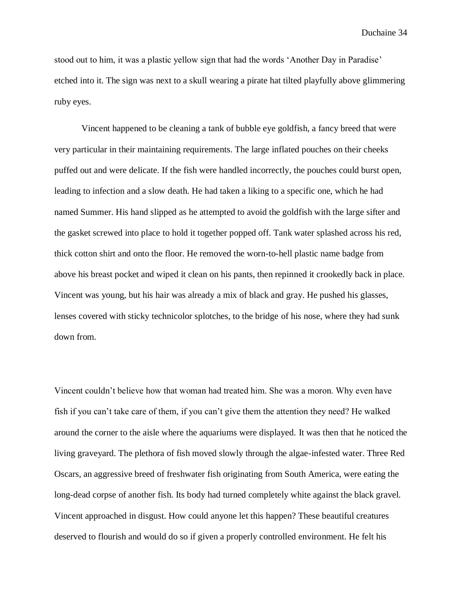stood out to him, it was a plastic yellow sign that had the words 'Another Day in Paradise' etched into it. The sign was next to a skull wearing a pirate hat tilted playfully above glimmering ruby eyes.

Vincent happened to be cleaning a tank of bubble eye goldfish, a fancy breed that were very particular in their maintaining requirements. The large inflated pouches on their cheeks puffed out and were delicate. If the fish were handled incorrectly, the pouches could burst open, leading to infection and a slow death. He had taken a liking to a specific one, which he had named Summer. His hand slipped as he attempted to avoid the goldfish with the large sifter and the gasket screwed into place to hold it together popped off. Tank water splashed across his red, thick cotton shirt and onto the floor. He removed the worn-to-hell plastic name badge from above his breast pocket and wiped it clean on his pants, then repinned it crookedly back in place. Vincent was young, but his hair was already a mix of black and gray. He pushed his glasses, lenses covered with sticky technicolor splotches, to the bridge of his nose, where they had sunk down from.

Vincent couldn't believe how that woman had treated him. She was a moron. Why even have fish if you can't take care of them, if you can't give them the attention they need? He walked around the corner to the aisle where the aquariums were displayed. It was then that he noticed the living graveyard. The plethora of fish moved slowly through the algae-infested water. Three Red Oscars, an aggressive breed of freshwater fish originating from South America, were eating the long-dead corpse of another fish. Its body had turned completely white against the black gravel. Vincent approached in disgust. How could anyone let this happen? These beautiful creatures deserved to flourish and would do so if given a properly controlled environment. He felt his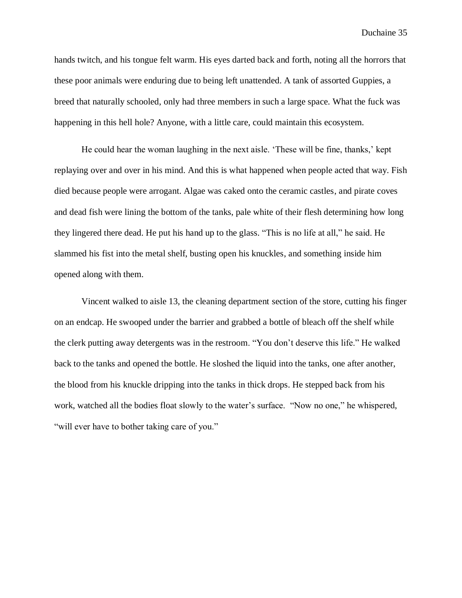hands twitch, and his tongue felt warm. His eyes darted back and forth, noting all the horrors that these poor animals were enduring due to being left unattended. A tank of assorted Guppies, a breed that naturally schooled, only had three members in such a large space. What the fuck was happening in this hell hole? Anyone, with a little care, could maintain this ecosystem.

He could hear the woman laughing in the next aisle. 'These will be fine, thanks,' kept replaying over and over in his mind. And this is what happened when people acted that way. Fish died because people were arrogant. Algae was caked onto the ceramic castles, and pirate coves and dead fish were lining the bottom of the tanks, pale white of their flesh determining how long they lingered there dead. He put his hand up to the glass. "This is no life at all," he said. He slammed his fist into the metal shelf, busting open his knuckles, and something inside him opened along with them.

Vincent walked to aisle 13, the cleaning department section of the store, cutting his finger on an endcap. He swooped under the barrier and grabbed a bottle of bleach off the shelf while the clerk putting away detergents was in the restroom. "You don't deserve this life." He walked back to the tanks and opened the bottle. He sloshed the liquid into the tanks, one after another, the blood from his knuckle dripping into the tanks in thick drops. He stepped back from his work, watched all the bodies float slowly to the water's surface. "Now no one," he whispered, "will ever have to bother taking care of you."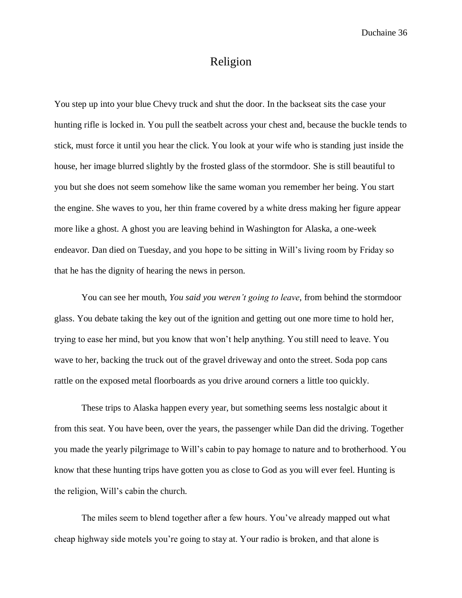## Religion

You step up into your blue Chevy truck and shut the door. In the backseat sits the case your hunting rifle is locked in. You pull the seatbelt across your chest and, because the buckle tends to stick, must force it until you hear the click. You look at your wife who is standing just inside the house, her image blurred slightly by the frosted glass of the stormdoor. She is still beautiful to you but she does not seem somehow like the same woman you remember her being. You start the engine. She waves to you, her thin frame covered by a white dress making her figure appear more like a ghost. A ghost you are leaving behind in Washington for Alaska, a one-week endeavor. Dan died on Tuesday, and you hope to be sitting in Will's living room by Friday so that he has the dignity of hearing the news in person.

You can see her mouth, *You said you weren't going to leave*, from behind the stormdoor glass. You debate taking the key out of the ignition and getting out one more time to hold her, trying to ease her mind, but you know that won't help anything. You still need to leave. You wave to her, backing the truck out of the gravel driveway and onto the street. Soda pop cans rattle on the exposed metal floorboards as you drive around corners a little too quickly.

These trips to Alaska happen every year, but something seems less nostalgic about it from this seat. You have been, over the years, the passenger while Dan did the driving. Together you made the yearly pilgrimage to Will's cabin to pay homage to nature and to brotherhood. You know that these hunting trips have gotten you as close to God as you will ever feel. Hunting is the religion, Will's cabin the church.

The miles seem to blend together after a few hours. You've already mapped out what cheap highway side motels you're going to stay at. Your radio is broken, and that alone is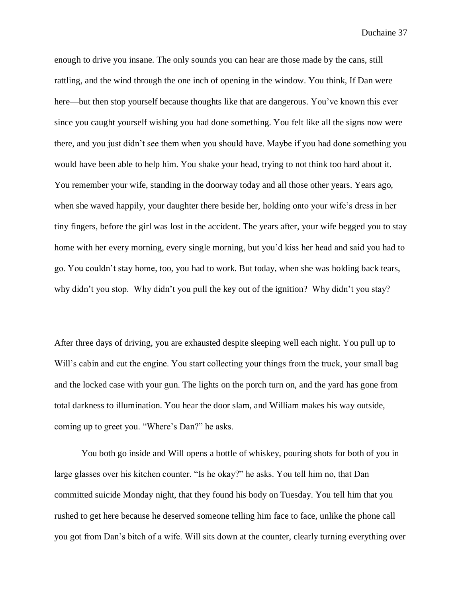enough to drive you insane. The only sounds you can hear are those made by the cans, still rattling, and the wind through the one inch of opening in the window. You think, If Dan were here—but then stop yourself because thoughts like that are dangerous. You've known this ever since you caught yourself wishing you had done something. You felt like all the signs now were there, and you just didn't see them when you should have. Maybe if you had done something you would have been able to help him. You shake your head, trying to not think too hard about it. You remember your wife, standing in the doorway today and all those other years. Years ago, when she waved happily, your daughter there beside her, holding onto your wife's dress in her tiny fingers, before the girl was lost in the accident. The years after, your wife begged you to stay home with her every morning, every single morning, but you'd kiss her head and said you had to go. You couldn't stay home, too, you had to work. But today, when she was holding back tears, why didn't you stop. Why didn't you pull the key out of the ignition? Why didn't you stay?

After three days of driving, you are exhausted despite sleeping well each night. You pull up to Will's cabin and cut the engine. You start collecting your things from the truck, your small bag and the locked case with your gun. The lights on the porch turn on, and the yard has gone from total darkness to illumination. You hear the door slam, and William makes his way outside, coming up to greet you. "Where's Dan?" he asks.

You both go inside and Will opens a bottle of whiskey, pouring shots for both of you in large glasses over his kitchen counter. "Is he okay?" he asks. You tell him no, that Dan committed suicide Monday night, that they found his body on Tuesday. You tell him that you rushed to get here because he deserved someone telling him face to face, unlike the phone call you got from Dan's bitch of a wife. Will sits down at the counter, clearly turning everything over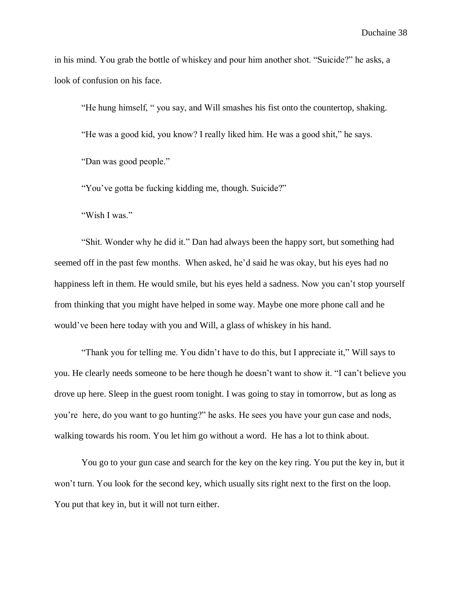in his mind. You grab the bottle of whiskey and pour him another shot. "Suicide?" he asks, a look of confusion on his face.

"He hung himself, " you say, and Will smashes his fist onto the countertop, shaking. "He was a good kid, you know? I really liked him. He was a good shit," he says. "Dan was good people."

"You've gotta be fucking kidding me, though. Suicide?"

"Wish I was."

"Shit. Wonder why he did it." Dan had always been the happy sort, but something had seemed off in the past few months. When asked, he'd said he was okay, but his eyes had no happiness left in them. He would smile, but his eyes held a sadness. Now you can't stop yourself from thinking that you might have helped in some way. Maybe one more phone call and he would've been here today with you and Will, a glass of whiskey in his hand.

"Thank you for telling me. You didn't have to do this, but I appreciate it," Will says to you. He clearly needs someone to be here though he doesn't want to show it. "I can't believe you drove up here. Sleep in the guest room tonight. I was going to stay in tomorrow, but as long as you're here, do you want to go hunting?" he asks. He sees you have your gun case and nods, walking towards his room. You let him go without a word. He has a lot to think about.

You go to your gun case and search for the key on the key ring. You put the key in, but it won't turn. You look for the second key, which usually sits right next to the first on the loop. You put that key in, but it will not turn either.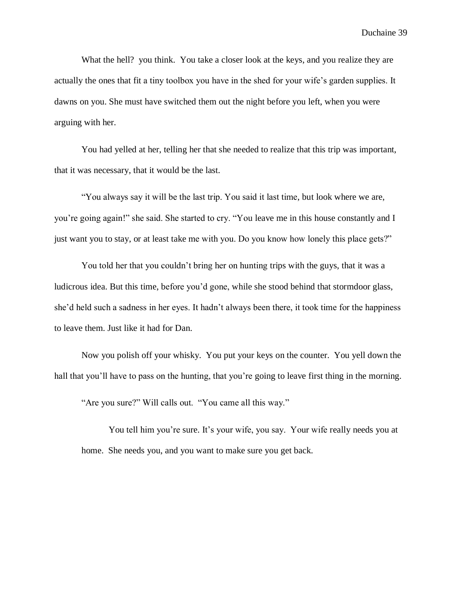What the hell? you think. You take a closer look at the keys, and you realize they are actually the ones that fit a tiny toolbox you have in the shed for your wife's garden supplies. It dawns on you. She must have switched them out the night before you left, when you were arguing with her.

You had yelled at her, telling her that she needed to realize that this trip was important, that it was necessary, that it would be the last.

"You always say it will be the last trip. You said it last time, but look where we are, you're going again!" she said. She started to cry. "You leave me in this house constantly and I just want you to stay, or at least take me with you. Do you know how lonely this place gets?"

You told her that you couldn't bring her on hunting trips with the guys, that it was a ludicrous idea. But this time, before you'd gone, while she stood behind that stormdoor glass, she'd held such a sadness in her eyes. It hadn't always been there, it took time for the happiness to leave them. Just like it had for Dan.

Now you polish off your whisky. You put your keys on the counter. You yell down the hall that you'll have to pass on the hunting, that you're going to leave first thing in the morning.

"Are you sure?" Will calls out. "You came all this way."

You tell him you're sure. It's your wife, you say. Your wife really needs you at home. She needs you, and you want to make sure you get back.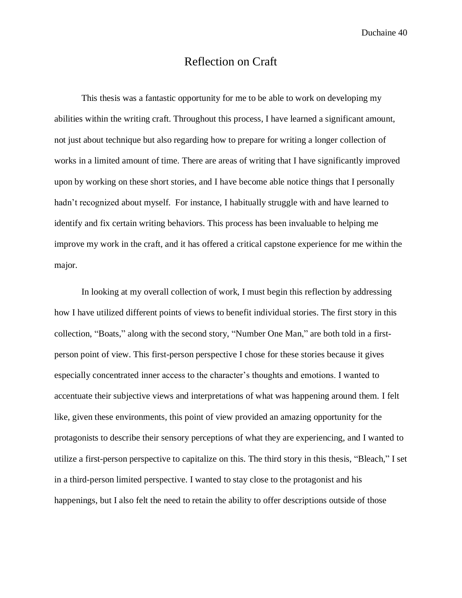#### Reflection on Craft

This thesis was a fantastic opportunity for me to be able to work on developing my abilities within the writing craft. Throughout this process, I have learned a significant amount, not just about technique but also regarding how to prepare for writing a longer collection of works in a limited amount of time. There are areas of writing that I have significantly improved upon by working on these short stories, and I have become able notice things that I personally hadn't recognized about myself. For instance, I habitually struggle with and have learned to identify and fix certain writing behaviors. This process has been invaluable to helping me improve my work in the craft, and it has offered a critical capstone experience for me within the major.

In looking at my overall collection of work, I must begin this reflection by addressing how I have utilized different points of views to benefit individual stories. The first story in this collection, "Boats," along with the second story, "Number One Man," are both told in a firstperson point of view. This first-person perspective I chose for these stories because it gives especially concentrated inner access to the character's thoughts and emotions. I wanted to accentuate their subjective views and interpretations of what was happening around them. I felt like, given these environments, this point of view provided an amazing opportunity for the protagonists to describe their sensory perceptions of what they are experiencing, and I wanted to utilize a first-person perspective to capitalize on this. The third story in this thesis, "Bleach," I set in a third-person limited perspective. I wanted to stay close to the protagonist and his happenings, but I also felt the need to retain the ability to offer descriptions outside of those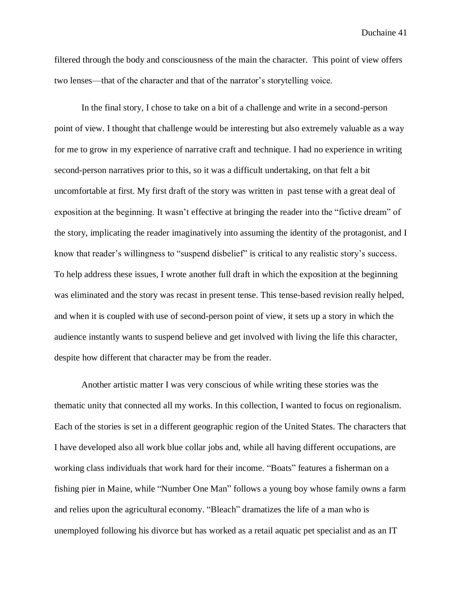filtered through the body and consciousness of the main the character. This point of view offers two lenses—that of the character and that of the narrator's storytelling voice.

In the final story, I chose to take on a bit of a challenge and write in a second-person point of view. I thought that challenge would be interesting but also extremely valuable as a way for me to grow in my experience of narrative craft and technique. I had no experience in writing second-person narratives prior to this, so it was a difficult undertaking, on that felt a bit uncomfortable at first. My first draft of the story was written in past tense with a great deal of exposition at the beginning. It wasn't effective at bringing the reader into the "fictive dream" of the story, implicating the reader imaginatively into assuming the identity of the protagonist, and I know that reader's willingness to "suspend disbelief" is critical to any realistic story's success. To help address these issues, I wrote another full draft in which the exposition at the beginning was eliminated and the story was recast in present tense. This tense-based revision really helped, and when it is coupled with use of second-person point of view, it sets up a story in which the audience instantly wants to suspend believe and get involved with living the life this character, despite how different that character may be from the reader.

Another artistic matter I was very conscious of while writing these stories was the thematic unity that connected all my works. In this collection, I wanted to focus on regionalism. Each of the stories is set in a different geographic region of the United States. The characters that I have developed also all work blue collar jobs and, while all having different occupations, are working class individuals that work hard for their income. "Boats" features a fisherman on a fishing pier in Maine, while "Number One Man" follows a young boy whose family owns a farm and relies upon the agricultural economy. "Bleach" dramatizes the life of a man who is unemployed following his divorce but has worked as a retail aquatic pet specialist and as an IT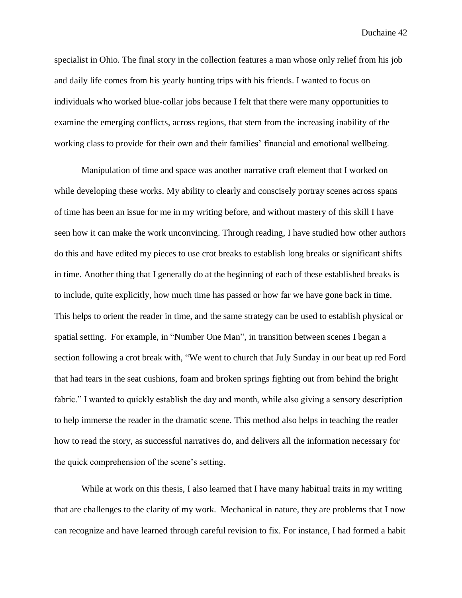specialist in Ohio. The final story in the collection features a man whose only relief from his job and daily life comes from his yearly hunting trips with his friends. I wanted to focus on individuals who worked blue-collar jobs because I felt that there were many opportunities to examine the emerging conflicts, across regions, that stem from the increasing inability of the working class to provide for their own and their families' financial and emotional wellbeing.

Manipulation of time and space was another narrative craft element that I worked on while developing these works. My ability to clearly and conscisely portray scenes across spans of time has been an issue for me in my writing before, and without mastery of this skill I have seen how it can make the work unconvincing. Through reading, I have studied how other authors do this and have edited my pieces to use crot breaks to establish long breaks or significant shifts in time. Another thing that I generally do at the beginning of each of these established breaks is to include, quite explicitly, how much time has passed or how far we have gone back in time. This helps to orient the reader in time, and the same strategy can be used to establish physical or spatial setting. For example, in "Number One Man", in transition between scenes I began a section following a crot break with, "We went to church that July Sunday in our beat up red Ford that had tears in the seat cushions, foam and broken springs fighting out from behind the bright fabric." I wanted to quickly establish the day and month, while also giving a sensory description to help immerse the reader in the dramatic scene. This method also helps in teaching the reader how to read the story, as successful narratives do, and delivers all the information necessary for the quick comprehension of the scene's setting.

While at work on this thesis, I also learned that I have many habitual traits in my writing that are challenges to the clarity of my work. Mechanical in nature, they are problems that I now can recognize and have learned through careful revision to fix. For instance, I had formed a habit